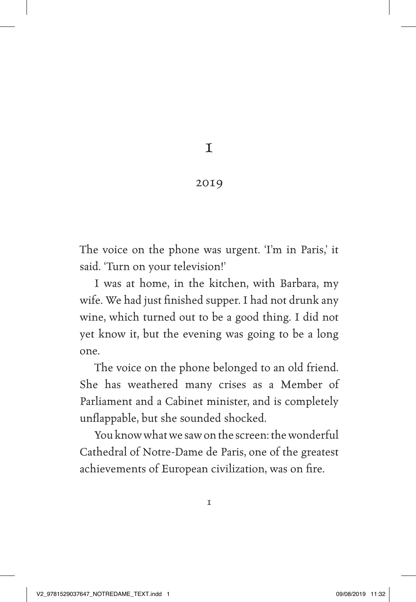$\mathbf T$ 

## 2019

The voice on the phone was urgent. 'I'm in Paris,' it said. 'Turn on your television!'

I was at home, in the kitchen, with Barbara, my wife. We had just fnished supper. I had not drunk any wine, which turned out to be a good thing. I did not yet know it, but the evening was going to be a long one.

The voice on the phone belonged to an old friend. She has weathered many crises as a Member of Parliament and a Cabinet minister, and is completely unfappable, but she sounded shocked.

You know what we saw on the screen: the wonderful Cathedral of Notre-Dame de Paris, one of the greatest achievements of European civilization, was on fre.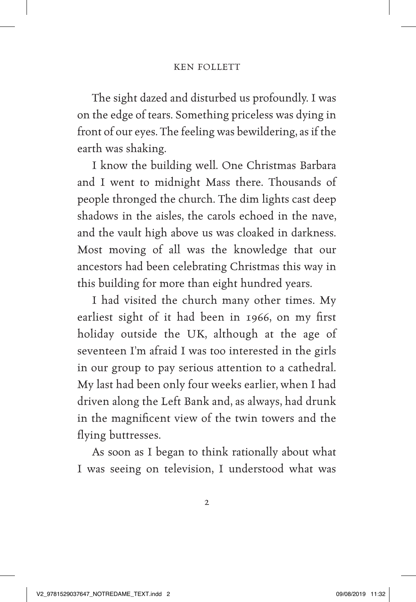The sight dazed and disturbed us profoundly. I was on the edge of tears. Something priceless was dying in front of our eyes. The feeling was bewildering, as if the earth was shaking.

I know the building well. One Christmas Barbara and I went to midnight Mass there. Thousands of people thronged the church. The dim lights cast deep shadows in the aisles, the carols echoed in the nave, and the vault high above us was cloaked in darkness. Most moving of all was the knowledge that our ancestors had been celebrating Christmas this way in this building for more than eight hundred years.

I had visited the church many other times. My earliest sight of it had been in 1966, on my frst holiday outside the UK, although at the age of seventeen I'm afraid I was too interested in the girls in our group to pay serious attention to a cathedral. My last had been only four weeks earlier, when I had driven along the Left Bank and, as always, had drunk in the magnifcent view of the twin towers and the flying buttresses.

As soon as I began to think rationally about what I was seeing on television, I understood what was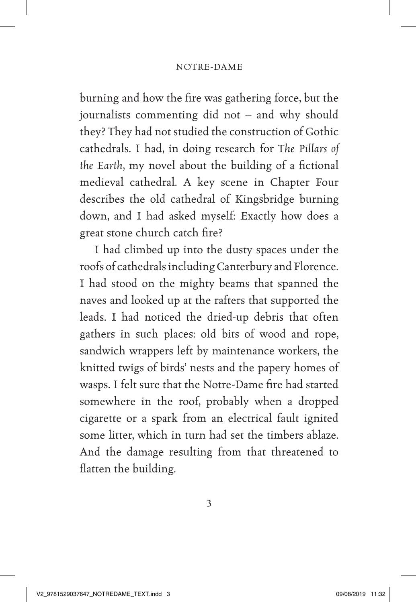burning and how the fre was gathering force, but the journalists commenting did not – and why should they? They had not studied the construction of Gothic cathedrals. I had, in doing research for *The Pillars of*  the Earth, my novel about the building of a fictional medieval cathedral. A key scene in Chapter Four describes the old cathedral of Kingsbridge burning down, and I had asked myself: Exactly how does a great stone church catch fre?

I had climbed up into the dusty spaces under the roofs of cathedrals including Canterbury and Florence. I had stood on the mighty beams that spanned the naves and looked up at the rafters that supported the leads. I had noticed the dried-up debris that often gathers in such places: old bits of wood and rope, sandwich wrappers left by maintenance workers, the knitted twigs of birds' nests and the papery homes of wasps. I felt sure that the Notre-Dame fre had started somewhere in the roof, probably when a dropped cigarette or a spark from an electrical fault ignited some litter, which in turn had set the timbers ablaze. And the damage resulting from that threatened to fatten the building.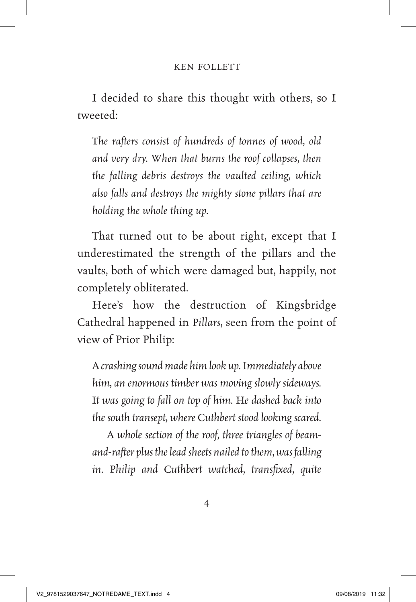## KEN FOLLETT

I decided to share this thought with others, so I tweeted:

*The rafters consist of hundreds of tonnes of wood, old and very dry. When that burns the roof collapses, then the falling debris destroys the vaulted ceiling, which also falls and destroys the mighty stone pillars that are holding the whole thing up.*

That turned out to be about right, except that I underestimated the strength of the pillars and the vaults, both of which were damaged but, happily, not completely obliterated.

Here's how the destruction of Kingsbridge Cathedral happened in *Pillars*, seen from the point of view of Prior Philip:

*A crashing sound made him look up. Immediately above him, an enormous timber was moving slowly sideways. It was going to fall on top of him. He dashed back into the south transept, where Cuthbert stood looking scared.* 

*A whole section of the roof, three triangles of beamand-rafter plus the lead sheets nailed to them, was falling in. Philip and Cuthbert watched, transfxed, quite*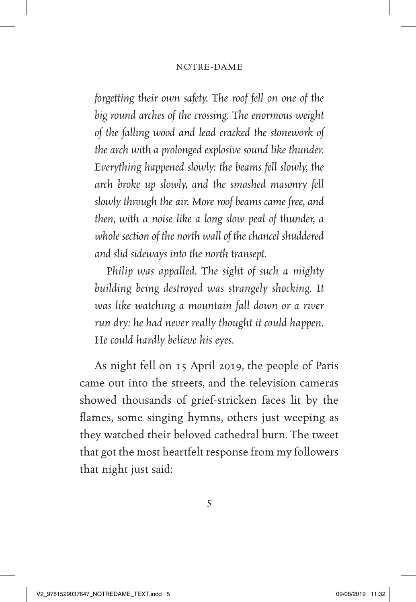*forgetting their own safety. The roof fell on one of the big round arches of the crossing. The enormous weight of the falling wood and lead cracked the stonework of the arch with a prolonged explosive sound like thunder. Everything happened slowly: the beams fell slowly, the arch broke up slowly, and the smashed masonry fell slowly through the air. More roof beams came free, and then, with a noise like a long slow peal of thunder, a whole section of the north wall of the chancel shuddered and slid sideways into the north transept.*

*Philip was appalled. The sight of such a mighty building being destroyed was strangely shocking. It was like watching a mountain fall down or a river run dry: he had never really thought it could happen. He could hardly believe his eyes.*

As night fell on 15 April 2019, the people of Paris came out into the streets, and the television cameras showed thousands of grief-stricken faces lit by the fames, some singing hymns, others just weeping as they watched their beloved cathedral burn. The tweet that got the most heartfelt response from my followers that night just said: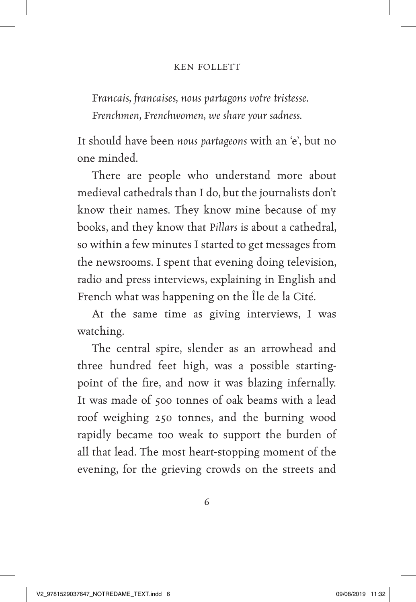## KEN FOLLETT

*Francais, francaises, nous partagons votre tristesse. Frenchmen, Frenchwomen, we share your sadness.*

It should have been *nous partageons* with an 'e', but no one minded.

There are people who understand more about medieval cathedrals than I do, but the journalists don't know their names. They know mine because of my books, and they know that *Pillars* is about a cathedral, so within a few minutes I started to get messages from the newsrooms. I spent that evening doing television, radio and press interviews, explaining in English and French what was happening on the Île de la Cité.

At the same time as giving interviews, I was watching.

The central spire, slender as an arrowhead and three hundred feet high, was a possible startingpoint of the fre, and now it was blazing infernally. It was made of 500 tonnes of oak beams with a lead roof weighing 250 tonnes, and the burning wood rapidly became too weak to support the burden of all that lead. The most heart-stopping moment of the evening, for the grieving crowds on the streets and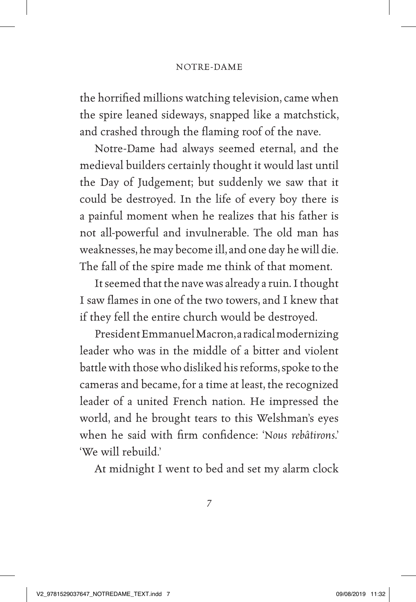the horrifed millions watching television, came when the spire leaned sideways, snapped like a matchstick, and crashed through the faming roof of the nave.

Notre-Dame had always seemed eternal, and the medieval builders certainly thought it would last until the Day of Judgement; but suddenly we saw that it could be destroyed. In the life of every boy there is a painful moment when he realizes that his father is not all-powerful and invulnerable. The old man has weaknesses, he may become ill, and one day he will die. The fall of the spire made me think of that moment.

It seemed that the nave was already a ruin. I thought I saw fames in one of the two towers, and I knew that if they fell the entire church would be destroyed.

President Emmanuel Macron, a radical modernizing leader who was in the middle of a bitter and violent battle with those who disliked his reforms, spoke to the cameras and became, for a time at least, the recognized leader of a united French nation. He impressed the world, and he brought tears to this Welshman's eyes when he said with frm confdence: '*Nous rebâtirons*.' 'We will rebuild.'

At midnight I went to bed and set my alarm clock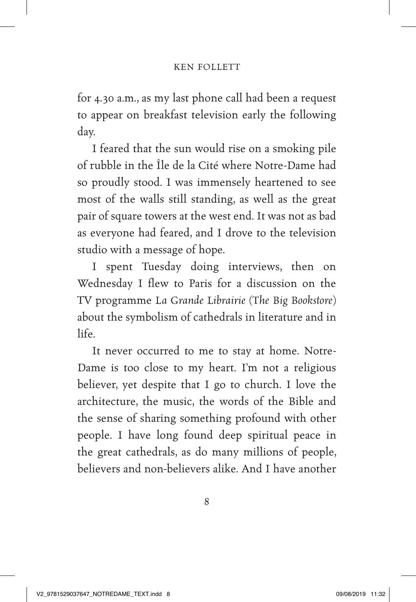for 4.30 a.m., as my last phone call had been a request to appear on breakfast television early the following day.

I feared that the sun would rise on a smoking pile of rubble in the Île de la Cité where Notre-Dame had so proudly stood. I was immensely heartened to see most of the walls still standing, as well as the great pair of square towers at the west end. It was not as bad as everyone had feared, and I drove to the television studio with a message of hope.

I spent Tuesday doing interviews, then on Wednesday I flew to Paris for a discussion on the TV programme *La Grande Librairie* (*The Big Bookstore*) about the symbolism of cathedrals in literature and in life.

It never occurred to me to stay at home. Notre-Dame is too close to my heart. I'm not a religious believer, yet despite that I go to church. I love the architecture, the music, the words of the Bible and the sense of sharing something profound with other people. I have long found deep spiritual peace in the great cathedrals, as do many millions of people, believers and non-believers alike. And I have another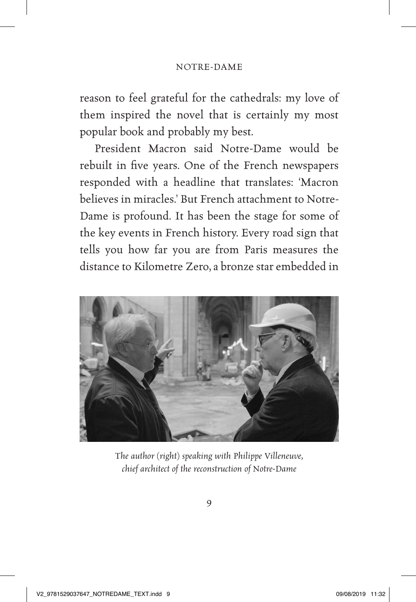reason to feel grateful for the cathedrals: my love of them inspired the novel that is certainly my most popular book and probably my best.

President Macron said Notre-Dame would be rebuilt in fve years. One of the French newspapers responded with a headline that translates: 'Macron believes in miracles.' But French attachment to Notre-Dame is profound. It has been the stage for some of the key events in French history. Every road sign that tells you how far you are from Paris measures the distance to Kilometre Zero, a bronze star embedded in



*The author (right) speaking with Philippe Villeneuve, chief architect of the reconstruction of Notre-Dame*